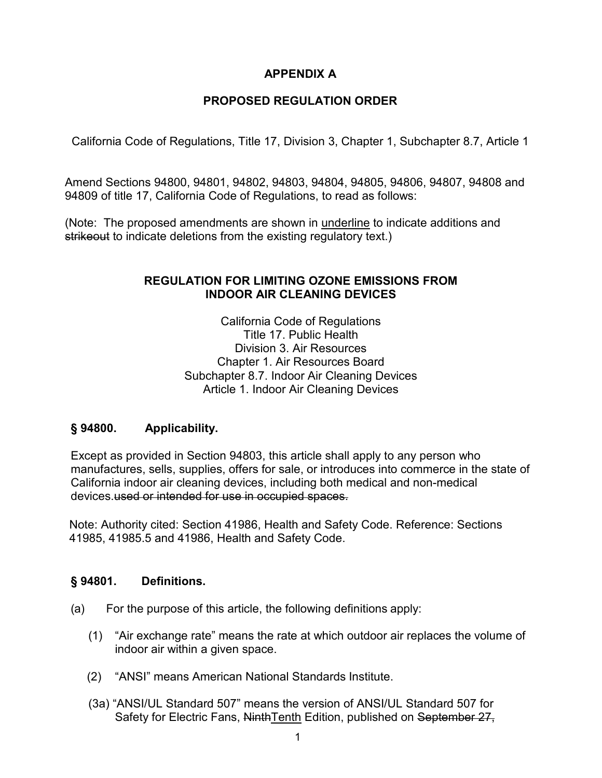## **APPENDIX A**

## **PROPOSED REGULATION ORDER**

California Code of Regulations, Title 17, Division 3, Chapter 1, Subchapter 8.7, Article 1

 Amend Sections 94800, 94801, 94802, 94803, 94804, 94805, 94806, 94807, 94808 and 94809 of title 17, California Code of Regulations, to read as follows:

(Note: The proposed amendments are shown in underline to indicate additions and strikeout to indicate deletions from the existing regulatory text.)

## **REGULATION FOR LIMITING OZONE EMISSIONS FROM INDOOR AIR CLEANING DEVICES**

California Code of Regulations Title 17. Public Health Division 3. Air Resources Chapter 1. Air Resources Board Subchapter 8.7. Indoor Air Cleaning Devices Article 1. Indoor Air Cleaning Devices

#### **§ 94800. Applicability.**

 manufactures, sells, supplies, offers for sale, or introduces into commerce in the state of Except as provided in Section 94803, this article shall apply to any person who California indoor air cleaning devices, including both medical and non-medical devices.used or intended for use in occupied spaces.

Note: Authority cited: Section 41986, Health and Safety Code. Reference: Sections 41985, 41985.5 and 41986, Health and Safety Code.

#### **Definitions.**

- (a) For the purpose of this article, the following definitions apply:
	- indoor air within a given space. (1) "Air exchange rate" means the rate at which outdoor air replaces the volume of
	- (2) "ANSI" means American National Standards Institute.
	- (3a) "ANSI/UL Standard 507" means the version of ANSI/UL Standard 507 for Safety for Electric Fans, NinthTenth Edition, published on September 27,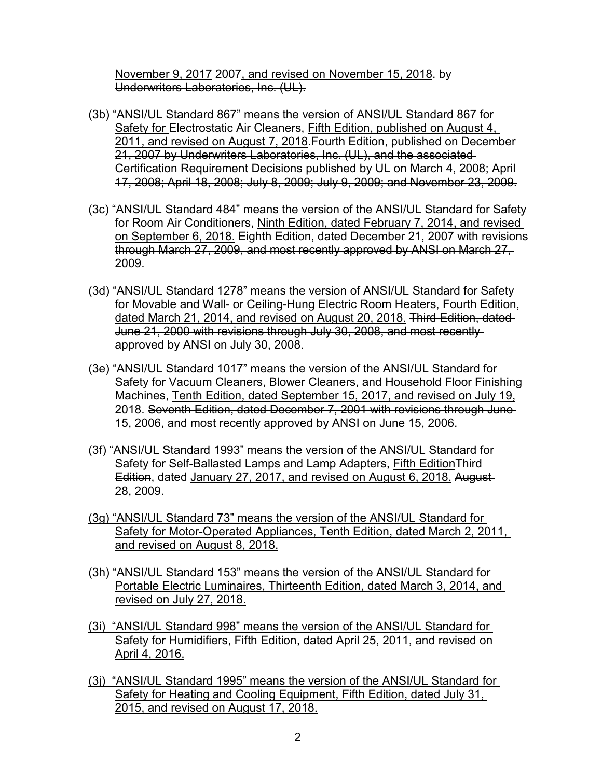November 9, 2017 2007, and revised on November 15, 2018. by Underwriters Laboratories, Inc. (UL).

- 2011, and revised on August 7, 2018.Fourth Edition, published on December (3b) "ANSI/UL Standard 867" means the version of ANSI/UL Standard 867 for Safety for Electrostatic Air Cleaners, Fifth Edition, published on August 4, 21, 2007 by Underwriters Laboratories, Inc. (UL), and the associated Certification Requirement Decisions published by UL on March 4, 2008; April 17, 2008; April 18, 2008; July 8, 2009; July 9, 2009; and November 23, 2009.
- (3c) "ANSI/UL Standard 484" means the version of the ANSI/UL Standard for Safety for Room Air Conditioners, Ninth Edition, dated February 7, 2014, and revised on September 6, 2018. Eighth Edition, dated December 21, 2007 with revisions through March 27, 2009, and most recently approved by ANSI on March 27, 2009.
- (3d) "ANSI/UL Standard 1278" means the version of ANSI/UL Standard for Safety for Movable and Wall- or Ceiling-Hung Electric Room Heaters, Fourth Edition, dated March 21, 2014, and revised on August 20, 2018. Third Edition, dated June 21, 2000 with revisions through July 30, 2008, and most recently approved by ANSI on July 30, 2008.
- 15, 2006, and most recently approved by ANSI on June 15, 2006. (3e) "ANSI/UL Standard 1017" means the version of the ANSI/UL Standard for Safety for Vacuum Cleaners, Blower Cleaners, and Household Floor Finishing Machines, Tenth Edition, dated September 15, 2017, and revised on July 19, 2018. Seventh Edition, dated December 7, 2001 with revisions through June
- Edition, dated January 27, 2017, and revised on August 6, 2018. August (3f) "ANSI/UL Standard 1993" means the version of the ANSI/UL Standard for Safety for Self-Ballasted Lamps and Lamp Adapters, Fifth Edition Third-28, 2009.
- (3g) "ANSI/UL Standard 73" means the version of the ANSI/UL Standard for Safety for Motor-Operated Appliances, Tenth Edition, dated March 2, 2011, and revised on August 8, 2018.
- (3h) "ANSI/UL Standard 153" means the version of the ANSI/UL Standard for Portable Electric Luminaires, Thirteenth Edition, dated March 3, 2014, and revised on July 27, 2018.
- (3i) "ANSI/UL Standard 998" means the version of the ANSI/UL Standard for Safety for Humidifiers, Fifth Edition, dated April 25, 2011, and revised on April 4, 2016.
- (3j) "ANSI/UL Standard 1995" means the version of the ANSI/UL Standard for Safety for Heating and Cooling Equipment, Fifth Edition, dated July 31, 2015, and revised on August 17, 2018.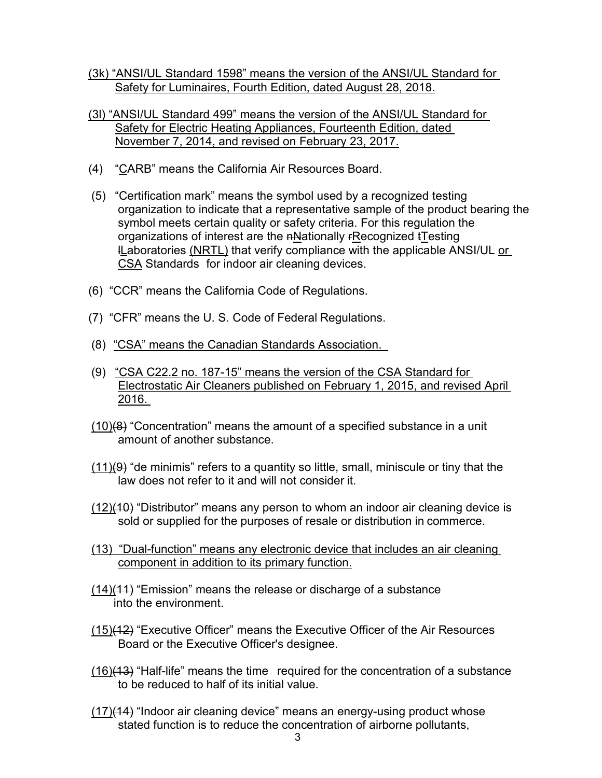- (3k) "ANSI/UL Standard 1598" means the version of the ANSI/UL Standard for Safety for Luminaires, Fourth Edition, dated August 28, 2018.
- November 7, 2014, and revised on February 23, 2017. (3l) "ANSI/UL Standard 499" means the version of the ANSI/UL Standard for Safety for Electric Heating Appliances, Fourteenth Edition, dated
- (4) "CARB" means the California Air Resources Board.
- **l<u>L</u>aboratories <u>(NRTL)</u> that verify compliance with the applicable ANSI/UL <u>or</u>** (5) "Certification mark" means the symbol used by a recognized testing organization to indicate that a representative sample of the product bearing the symbol meets certain quality or safety criteria. For this regulation the organizations of interest are the nNationally rRecognized tTesting CSA Standards for indoor air cleaning devices.
- (6) "CCR" means the California Code of Regulations.
- (7) "CFR" means the U. S. Code of Federal Regulations.
- (8) "CSA" means the Canadian Standards Association.
- (8) <u>"CSA" means the Canadian Standards Association.</u><br>(9) <u>"CSA C22.2 no. 187-15" means the version of the CSA Standard for</u> Electrostatic Air Cleaners published on February 1, 2015, and revised April 2016.
- amount of another substance.  $(10)(8)$  "Concentration" means the amount of a specified substance in a unit
- law does not refer to it and will not consider it.  $(11)$ (9) "de minimis" refers to a quantity so little, small, miniscule or tiny that the
- (12)(10) "Distributor" means any person to whom an indoor air cleaning device is sold or supplied for the purposes of resale or distribution in commerce.
- (13) "Dual-function" means any electronic device that includes an air cleaning component in addition to its primary function.
- (14)(11) "Emission" means the release or discharge of a substance into the environment.
- Board or the Executive Officer's designee. (15)(12) "Executive Officer" means the Executive Officer of the Air Resources
- <u>(16)</u>(13) "Half-life" means the time  $\,$  required for the concentration of a substance to be reduced to half of its initial value.
- $(17)(14)$  "Indoor air cleaning device" means an energy-using product whose stated function is to reduce the concentration of airborne pollutants,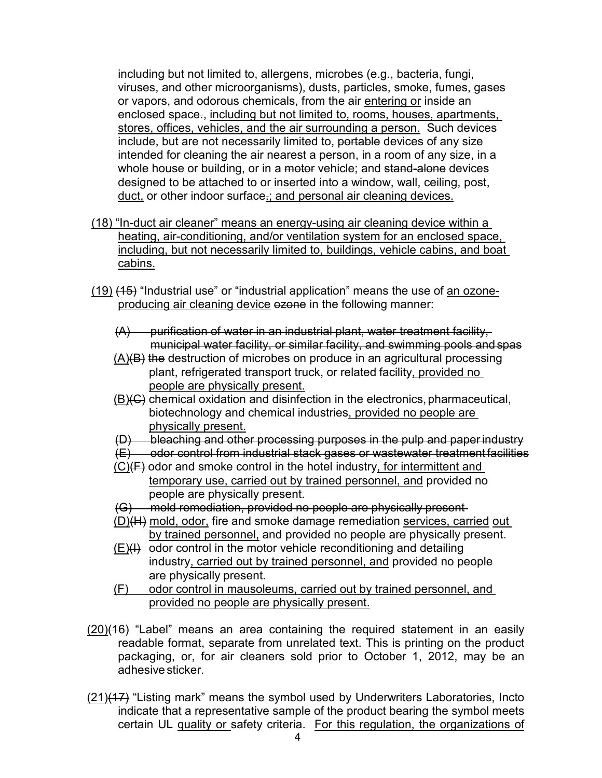including but not limited to, allergens, microbes (e.g., bacteria, fungi, viruses, and other microorganisms), dusts, particles, smoke, fumes, gases stores, offices, vehicles, and the air surrounding a person. Such devices designed to be attached to <u>or inserted into</u> a <u>window,</u> wall, ceiling, post, or vapors, and odorous chemicals, from the air entering or inside an enclosed space., including but not limited to, rooms, houses, apartments, include, but are not necessarily limited to, portable devices of any size intended for cleaning the air nearest a person, in a room of any size, in a whole house or building, or in a motor vehicle; and stand-alone devices duct, or other indoor surface.; and personal air cleaning devices.

- including, but not necessarily limited to, buildings, vehicle cabins, and boat (18) "In-duct air cleaner" means an energy-using air cleaning device within a heating, air-conditioning, and/or ventilation system for an enclosed space, cabins.
- <u>(19)</u> <del>(15)</del> "Industrial use" or "industrial application" means the use of <u>an ozone-</u> producing air cleaning device ezone in the following manner:
	- (A) purification of water in an industrial plant, water treatment facility, municipal water facility, or similar facility, and swimming pools and spas
	- $(A)(B)$  the destruction of microbes on produce in an agricultural processing plant, refrigerated transport truck, or related facility, provided no people are physically present.
	- $(B)(C)$  chemical oxidation and disinfection in the electronics, pharmaceutical, biotechnology and chemical industries, provided no people are physically present.
	- (D) bleaching and other processing purposes in the pulp and paper industry
	- (E) odor control from industrial stack gases or wastewater treatment facilities
	- temporary use, carried out by trained personnel, and provided no people are physically present.  $(C)(F)$  odor and smoke control in the hotel industry, for intermittent and
	- (G) mold remediation, provided no people are physically present
	- by trained personnel, and provided no people are physically present. (D)(H) mold, odor, fire and smoke damage remediation services, carried out
	- industry, carried out by trained personnel, and provided no people are physically present.  $(E)(H)$  odor control in the motor vehicle reconditioning and detailing
	- (F) odor control in mausoleums, carried out by trained personnel, and provided no people are physically present.
- packaging, or, for air cleaners sold prior to October 1, 2012, may be an adhesive sticker.  $(20)(16)$  "Label" means an area containing the required statement in an easily readable format, separate from unrelated text. This is printing on the product
- indicate that a representative sample of the product bearing the symbol meets certain UL quality or safety criteria. For this regulation, the organizations of (21)(17) "Listing mark" means the symbol used by Underwriters Laboratories, Incto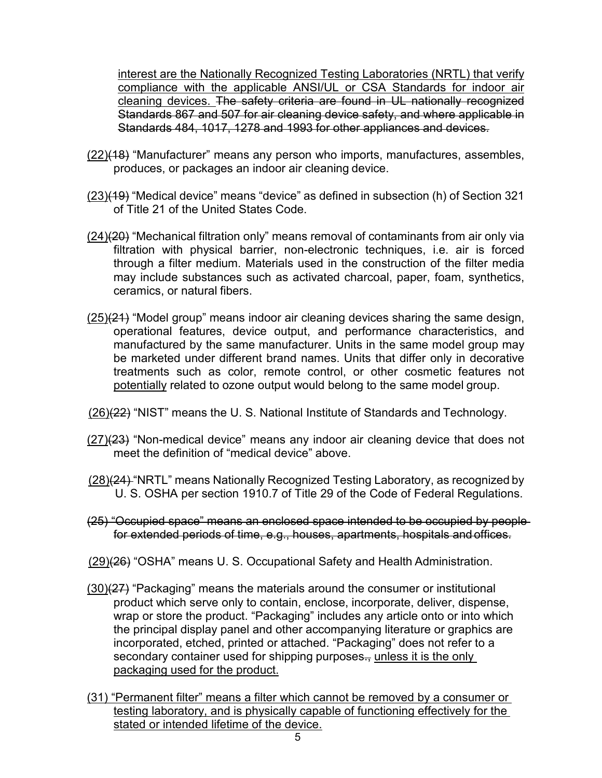interest are the Nationally Recognized Testing Laboratories (NRTL) that verify Standards 484, 1017, 1278 and 1993 for other appliances and devices. compliance with the applicable ANSI/UL or CSA Standards for indoor air cleaning devices. The safety criteria are found in UL nationally recognized Standards 867 and 507 for air cleaning device safety, and where applicable in

- produces, or packages an indoor air cleaning device. (22)(18) "Manufacturer" means any person who imports, manufactures, assembles,
- of Title 21 of the United States Code. (23)(19) "Medical device" means "device" as defined in subsection (h) of Section 321
- <u>(24)</u>(<del>20)</del> "Mechanical filtration only" means removal of contaminants from air only via through a filter medium. Materials used in the construction of the filter media may include substances such as activated charcoal, paper, foam, synthetics, ceramics, or natural fibers. filtration with physical barrier, non-electronic techniques, i.e. air is forced
- manufactured by the same manufacturer. Units in the same model group may potentially related to ozone output would belong to the same model group.  $(25)(24)$  "Model group" means indoor air cleaning devices sharing the same design, operational features, device output, and performance characteristics, and be marketed under different brand names. Units that differ only in decorative treatments such as color, remote control, or other cosmetic features not
- (26)(22) "NIST" means the U. S. National Institute of Standards and Technology.
- meet the definition of "medical device" above. (27)(23) "Non-medical device" means any indoor air cleaning device that does not
- <u>(28)</u>(<del>24)</del> "NRTL" means Nationally Recognized Testing Laboratory, as recognized by U. S. OSHA per section 1910.7 of Title 29 of the Code of Federal Regulations.
- (25) "Occupied space" means an enclosed space intended to be occupied by people for extended periods of time, e.g., houses, apartments, hospitals and offices.
- (29)(26) "OSHA" means U. S. Occupational Safety and Health Administration.
- secondary container used for shipping purposes<del>.,</del> <u>unless it is the only</u>  $(30)(27)$  "Packaging" means the materials around the consumer or institutional product which serve only to contain, enclose, incorporate, deliver, dispense, wrap or store the product. "Packaging" includes any article onto or into which the principal display panel and other accompanying literature or graphics are incorporated, etched, printed or attached. "Packaging" does not refer to a packaging used for the product.
- (31) "Permanent filter" means a filter which cannot be removed by a consumer or testing laboratory, and is physically capable of functioning effectively for the stated or intended lifetime of the device.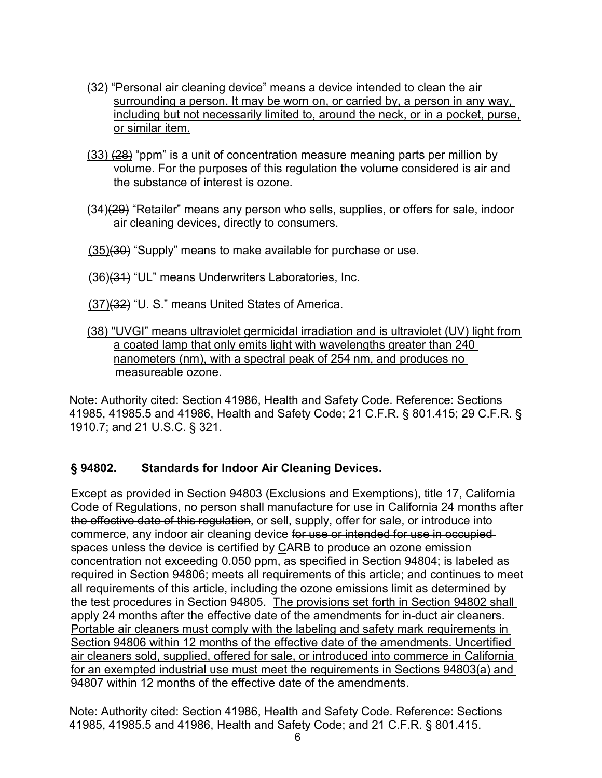- surrounding a person. It may be worn on, or carried by, a person in any way, including but not necessarily limited to, around the neck, or in a pocket, purse, (32) "Personal air cleaning device" means a device intended to clean the air or similar item.
- (33) <del>(28)</del> "ppm" is a unit of concentration measure meaning parts per million by volume. For the purposes of this regulation the volume considered is air and the substance of interest is ozone.
- <u>(34)(29</u>) "Retailer" means any person who sells, supplies, or offers for sale, indoor air cleaning devices, directly to consumers.
- <u>(35)</u><del>(30)</del> "Supply" means to make available for purchase or use.
- <u>(36)</u><del>(31)</del> "UL" means Underwriters Laboratories, Inc.
- <u>(37)(32</u>) "U. S." means United States of America.
- (38) "UVGI" means ultraviolet germicidal irradiation and is ultraviolet (UV) light from a coated lamp that only emits light with wavelengths greater than 240 measureable ozone. nanometers (nm), with a spectral peak of 254 nm, and produces no

Note: Authority cited: Section 41986, Health and Safety Code. Reference: Sections 41985, 41985.5 and 41986, Health and Safety Code; 21 C.F.R. § 801.415; 29 C.F.R. § 1910.7; and 21 U.S.C. § 321.

#### **§ 94802. Standards for Indoor Air Cleaning Devices.**

 the test procedures in Section 94805. The provisions set forth in Section 94802 shall apply 24 months after the effective date of the amendments for in-duct air cleaners. 94807 within 12 months of the effective date of the amendments. Except as provided in Section 94803 (Exclusions and Exemptions), title 17, California Code of Regulations, no person shall manufacture for use in California 24 months after the effective date of this regulation, or sell, supply, offer for sale, or introduce into commerce, any indoor air cleaning device for use or intended for use in occupiedspaces unless the device is certified by CARB to produce an ozone emission concentration not exceeding 0.050 ppm, as specified in Section 94804; is labeled as required in Section 94806; meets all requirements of this article; and continues to meet all requirements of this article, including the ozone emissions limit as determined by Portable air cleaners must comply with the labeling and safety mark requirements in Section 94806 within 12 months of the effective date of the amendments. Uncertified air cleaners sold, supplied, offered for sale, or introduced into commerce in California for an exempted industrial use must meet the requirements in Sections 94803(a) and

Note: Authority cited: Section 41986, Health and Safety Code. Reference: Sections 41985, 41985.5 and 41986, Health and Safety Code; and 21 C.F.R. § 801.415.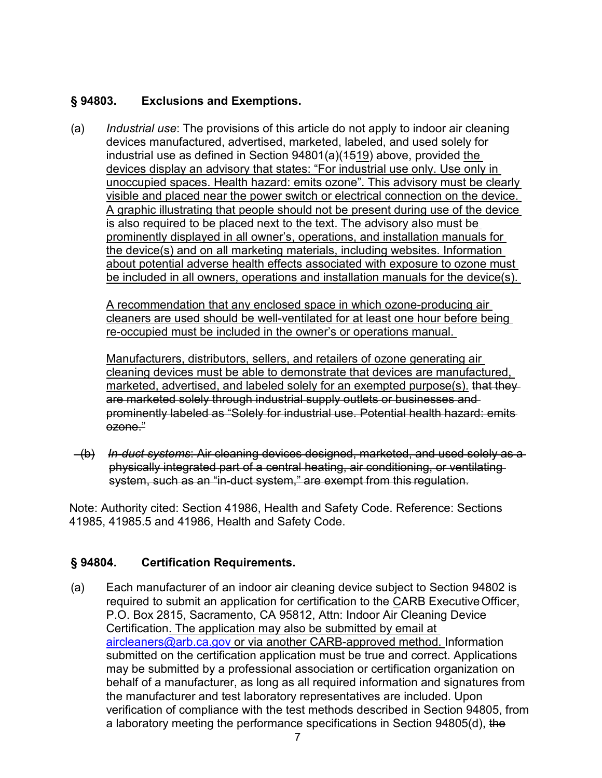#### **Exclusions and Exemptions.**

 devices manufactured, advertised, marketed, labeled, and used solely for unoccupied spaces. Health hazard: emits ozone". This advisory must be clearly visible and placed near the power switch or electrical connection on the device. visible and placed near the power switch or electrical connection on the device.<br>A graphic illustrating that people should not be present during use of the device<sub>.</sub> prominently displayed in all owner's, operations, and installation manuals for about potential adverse health effects associated with exposure to ozone must be included in all owners, operations and installation manuals for the device(s). (a) *Industrial use*: The provisions of this article do not apply to indoor air cleaning industrial use as defined in Section  $94801(a)(1519)$  above, provided the devices display an advisory that states: "For industrial use only. Use only in is also required to be placed next to the text. The advisory also must be the device(s) and on all marketing materials, including websites. Information

 re-occupied must be included in the owner's or operations manual. A recommendation that any enclosed space in which ozone-producing air cleaners are used should be well-ventilated for at least one hour before being

Manufacturers, distributors, sellers, and retailers of ozone generating air cleaning devices must be able to demonstrate that devices are manufactured, marketed, advertised, and labeled solely for an exempted purpose(s). that theyare marketed solely through industrial supply outlets or businesses and prominently labeled as "Solely for industrial use. Potential health hazard: emits ozone."

 (b) *In-duct systems*: Air cleaning devices designed, marketed, and used solely as a system, such as an "in-duct system," are exempt from this regulation. physically integrated part of a central heating, air conditioning, or ventilating

Note: Authority cited: Section 41986, Health and Safety Code. Reference: Sections 41985, 41985.5 and 41986, Health and Safety Code.

### **Certification Requirements.**

required to submit an application for certification to the <u>C</u>ARB Executive Officer, Certification. The application may also be submitted by email at behalf of a manufacturer, as long as all required information and signatures from verification of compliance with the test methods described in Section 94805, from (a) Each manufacturer of an indoor air cleaning device subject to Section 94802 is P.O. Box 2815, Sacramento, CA 95812, Attn: Indoor Air Cleaning Device [aircleaners@arb.ca.gov](mailto:aircleaners@arb.ca.gov) or via another CARB-approved method. Information submitted on the certification application must be true and correct. Applications may be submitted by a professional association or certification organization on the manufacturer and test laboratory representatives are included. Upon a laboratory meeting the performance specifications in Section 94805(d), the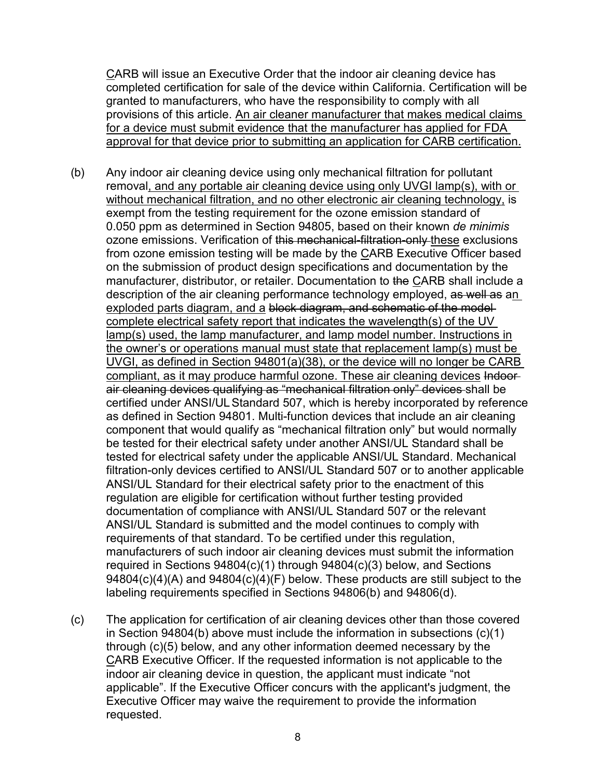CARB will issue an Executive Order that the indoor air cleaning device has completed certification for sale of the device within California. Certification will be granted to manufacturers, who have the responsibility to comply with all provisions of this article. An air cleaner manufacturer that makes medical claims for a device must submit evidence that the manufacturer has applied for FDA approval for that device prior to submitting an application for CARB certification.

- removal, and any portable air cleaning device using only UVGI lamp(s), with or without mechanical filtration, and no other electronic air cleaning technology, is exempt from the testing requirement for the ozone emission standard of ozone emissions. Verification of <del>this mechanical-filtration-only <u>t</u>hese</del> exclusions exploded parts diagram, and a block diagram, and schematic of the model compliant, as it may produce harmful ozone. These air cleaning devices Indoor certified under ANSI/ULStandard 507, which is hereby incorporated by reference tested for electrical safety under the applicable ANSI/UL Standard. Mechanical filtration-only devices certified to ANSI/UL Standard 507 or to another applicable ANSI/UL Standard for their electrical safety prior to the enactment of this (b) Any indoor air cleaning device using only mechanical filtration for pollutant 0.050 ppm as determined in Section 94805, based on their known *de minimis*  from ozone emission testing will be made by the CARB Executive Officer based on the submission of product design specifications and documentation by the manufacturer, distributor, or retailer. Documentation to the CARB shall include a description of the air cleaning performance technology employed, as well as an complete electrical safety report that indicates the wavelength(s) of the UV lamp(s) used, the lamp manufacturer, and lamp model number. Instructions in the owner's or operations manual must state that replacement lamp(s) must be UVGI, as defined in Section 94801(a)(38), or the device will no longer be CARB air cleaning devices qualifying as "mechanical filtration only" devices shall be as defined in Section 94801. Multi-function devices that include an air cleaning component that would qualify as "mechanical filtration only" but would normally be tested for their electrical safety under another ANSI/UL Standard shall be regulation are eligible for certification without further testing provided documentation of compliance with ANSI/UL Standard 507 or the relevant ANSI/UL Standard is submitted and the model continues to comply with requirements of that standard. To be certified under this regulation, manufacturers of such indoor air cleaning devices must submit the information required in Sections 94804(c)(1) through 94804(c)(3) below, and Sections 94804(c)(4)(A) and 94804(c)(4)(F) below. These products are still subject to the labeling requirements specified in Sections 94806(b) and 94806(d).
- Executive Officer may waive the requirement to provide the information (c) The application for certification of air cleaning devices other than those covered in Section 94804(b) above must include the information in subsections (c)(1) through (c)(5) below, and any other information deemed necessary by the CARB Executive Officer. If the requested information is not applicable to the indoor air cleaning device in question, the applicant must indicate "not applicable". If the Executive Officer concurs with the applicant's judgment, the requested.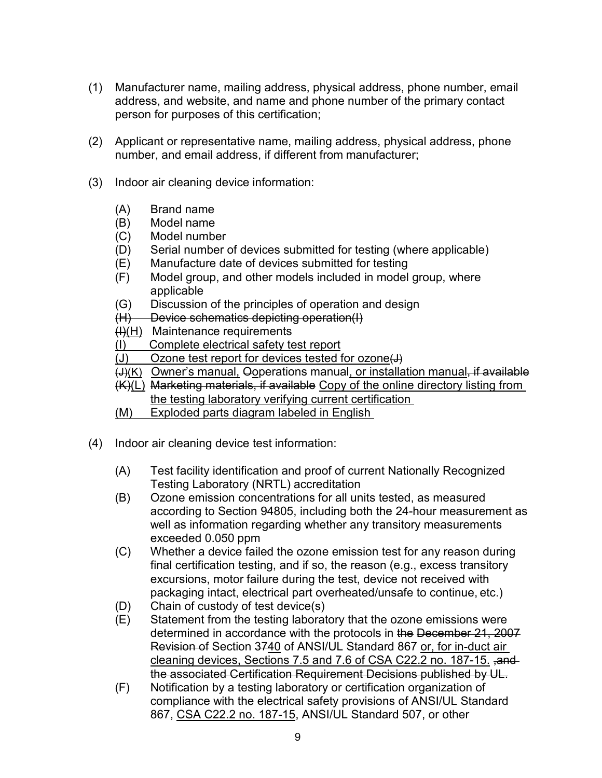- address, and website, and name and phone number of the primary contact (1) Manufacturer name, mailing address, physical address, phone number, email person for purposes of this certification;
- (2) Applicant or representative name, mailing address, physical address, phone number, and email address, if different from manufacturer;
- (3) Indoor air cleaning device information:
	- (A) Brand name
	- (B) Model name
	- (C) Model number
	- (D) Serial number of devices submitted for testing (where applicable)
	- (E) Manufacture date of devices submitted for testing
	- (F) Model group, and other models included in model group, where applicable
	- (G) Discussion of the principles of operation and design
	- (H) Device schematics depicting operation(I)
	- (<del>I)</del>(H) Maintenance requirements
	- $\ddot{\phantom{a}}$ (I) Complete electrical safety test report
	- $(J)$ Ozone test report for devices tested for ozone $\leftrightarrow$
	- <del>(J)</del><u>(K)</u> Owner's manual, Ooperations manual<u>, or installation manual, if available</u>
	- (K)(L) Marketing materials, if available Copy of the online directory listing from
- the testing laboratory verifying current certification<br>(M) Exploded parts diagram labeled in English<br>(4) Indoor air cleaning device test information: Exploded parts diagram labeled in English
- - (A) Test facility identification and proof of current Nationally Recognized Testing Laboratory (NRTL) accreditation
	- (B) Ozone emission concentrations for all units tested, as measured according to Section 94805, including both the 24-hour measurement as exceeded 0.050 ppm well as information regarding whether any transitory measurements
	- (C) Whether a device failed the ozone emission test for any reason during packaging intact, electrical part overheated/unsafe to continue, etc.) final certification testing, and if so, the reason (e.g., excess transitory excursions, motor failure during the test, device not received with
	- (D) Chain of custody of test device(s)
	- cleaning devices, Sections 7.5 and 7.6 of CSA C22.2 no. 187-15. ,and the associated Certification Requirement Decisions published by UL. (E) Statement from the testing laboratory that the ozone emissions were determined in accordance with the protocols in the December 21, 2007 Revision of Section 3740 of ANSI/UL Standard 867 or, for in-duct air
	- 867, <u>CSA C22.2 no. 187-15</u>, ANSI/UL Standard 507, or other (F) Notification by a testing laboratory or certification organization of compliance with the electrical safety provisions of ANSI/UL Standard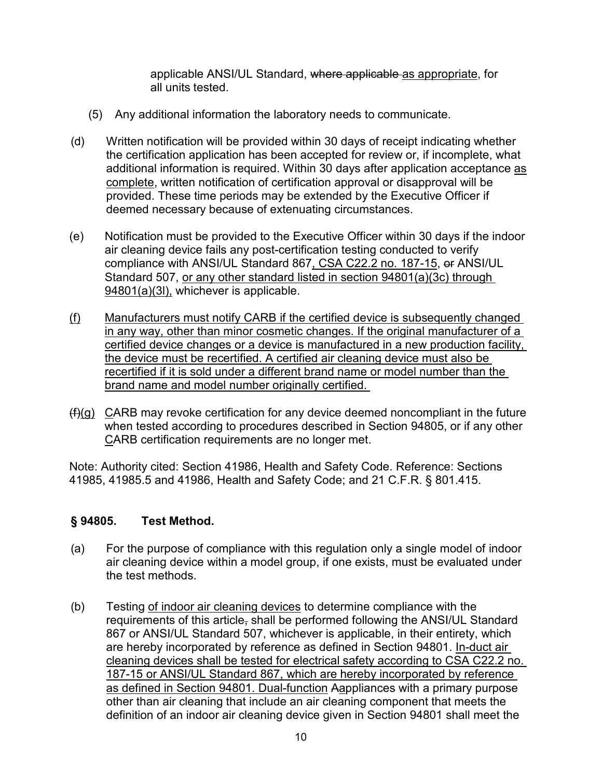all units tested. applicable ANSI/UL Standard, where applicable as appropriate, for

- (5) Any additional information the laboratory needs to communicate.
- (d) Written notification will be provided within 30 days of receipt indicating whether the certification application has been accepted for review or, if incomplete, what additional information is required. Within 30 days after application acceptance as complete, written notification of certification approval or disapproval will be provided. These time periods may be extended by the Executive Officer if deemed necessary because of extenuating circumstances.
- (e) Notification must be provided to the Executive Officer within 30 days if the indoor compliance with ANSI/UL Standard 867<u>, CSA C22.2 no. 187-15</u>, <del>or</del> ANSI/UL air cleaning device fails any post-certification testing conducted to verify Standard 507, or any other standard listed in section 94801(a)(3c) through 94801(a)(3l), whichever is applicable.
- in any way, other than minor cosmetic changes. If the original manufacturer of a the device must be recertified. A certified air cleaning device must also be recertified if it is sold under a different brand name or model number than the brand name and model number originally certified. (f) Manufacturers must notify CARB if the certified device is subsequently changed certified device changes or a device is manufactured in a new production facility,
- $(f)(g)$   $C$ ARB may revoke certification for any device deemed noncompliant in the future when tested according to procedures described in Section 94805, or if any other CARB certification requirements are no longer met.

Note: Authority cited: Section 41986, Health and Safety Code. Reference: Sections 41985, 41985.5 and 41986, Health and Safety Code; and 21 C.F.R. § 801.415.

#### **§ 94805. Test Method.**

- the test methods. (a) For the purpose of compliance with this regulation only a single model of indoor air cleaning device within a model group, if one exists, must be evaluated under
- are hereby incorporated by reference as defined in Section 94801. <u>In-duct air</u> 187-15 or ANSI/UL Standard 867, which are hereby incorporated by reference (b) Testing of indoor air cleaning devices to determine compliance with the requirements of this article, shall be performed following the ANSI/UL Standard 867 or ANSI/UL Standard 507, whichever is applicable, in their entirety, which cleaning devices shall be tested for electrical safety according to CSA C22.2 no. as defined in Section 94801. Dual-function Aappliances with a primary purpose other than air cleaning that include an air cleaning component that meets the definition of an indoor air cleaning device given in Section 94801 shall meet the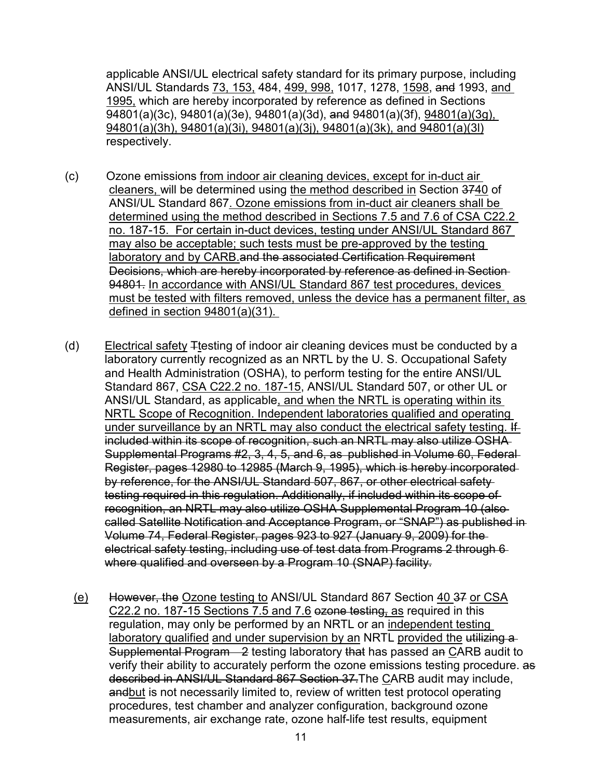ANSI/UL Standards <u>73, 153,</u> 484, <u>499, 998,</u> 1017, 1278, <u>1598,</u> <del>and</del> 1993, <u>and\_</u> applicable ANSI/UL electrical safety standard for its primary purpose, including 1995, which are hereby incorporated by reference as defined in Sections  $\overline{94801(a)}(3c)$ , 94801(a)(3e), 94801(a)(3d), and 94801(a)(3f), 94801(a)(3g), 94801(a)(3h), 94801(a)(3i), 94801(a)(3j), 94801(a)(3k), and 94801(a)(3l) respectively.

- (c) Ozone emissions from indoor air cleaning devices, except for in-duct air ANSI/UL Standard 867. Ozone emissions from in-duct air cleaners shall be no. 187-15. For certain in-duct devices, testing under ANSI/UL Standard 867 94801. In accordance with ANSI/UL Standard 867 test procedures, devices must be tested with filters removed, unless the device has a permanent filter, as defined in section 94801(a)(31). cleaners, will be determined using the method described in Section 3740 of determined using the method described in Sections 7.5 and 7.6 of CSA C22.2 may also be acceptable; such tests must be pre-approved by the testing laboratory and by CARB.and the associated Certification Requirement Decisions, which are hereby incorporated by reference as defined in Section
- Standard 867, <u>CSA C22.2 no. 187-15,</u> ANSI/UL Standard 507, or other UL or Supplemental Programs #2, 3, 4, 5, and 6, as published in Volume 60, Federal by reference, for the ANSI/UL Standard 507, 867, or other electrical safety electrical safety testing, including use of test data from Programs 2 through 6 where qualified and overseen by a Program 10 (SNAP) facility. (d) Electrical safety  $\pm$ testing of indoor air cleaning devices must be conducted by a laboratory currently recognized as an NRTL by the U. S. Occupational Safety and Health Administration (OSHA), to perform testing for the entire ANSI/UL ANSI/UL Standard, as applicable, and when the NRTL is operating within its NRTL Scope of Recognition. Independent laboratories qualified and operating under surveillance by an NRTL may also conduct the electrical safety testing. If included within its scope of recognition, such an NRTL may also utilize OSHA Register, pages 12980 to 12985 (March 9, 1995), which is hereby incorporated testing required in this regulation. Additionally, if included within its scope of recognition, an NRTL may also utilize OSHA Supplemental Program 10 (also called Satellite Notification and Acceptance Program, or "SNAP") as published in Volume 74, Federal Register, pages 923 to 927 (January 9, 2009) for the
	- (e) However, the Ozone testing to ANSI/UL Standard 867 Section 40.37 or CSA <u>C22.2 no. 187-15 Sections 7.5 and 7.6</u> e<del>zone testing<u>,</u> as</del> required in this Supplemental Program—2 testing laboratory t<del>hat</del> has passed an <u>C</u>ARB audit to regulation, may only be performed by an NRTL or an independent testing laboratory qualified and under supervision by an NRTL provided the utilizing a verify their ability to accurately perform the ozone emissions testing procedure. as described in ANSI/UL Standard 867 Section 37.The CARB audit may include, andbut is not necessarily limited to, review of written test protocol operating procedures, test chamber and analyzer configuration, background ozone measurements, air exchange rate, ozone half-life test results, equipment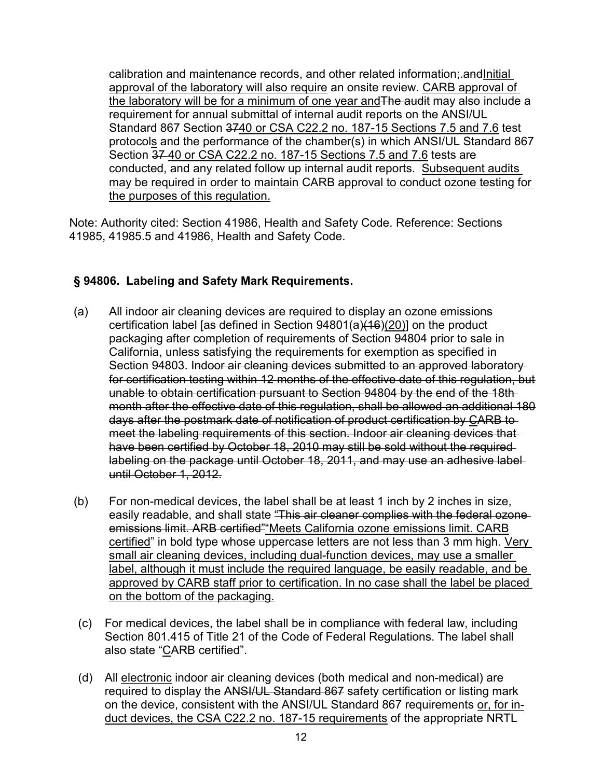<u>the laboratory will be for a minimum of one year and</u>The audit may also include a requirement for annual submittal of internal audit reports on the ANSI/UL Standard 867 Section <del>37<u>40 or CSA C22.2 no. 187-15 Sections 7.5</u> and 7.6</del> test Section 37 40 or CSA C22.2 no. 187-15 Sections 7.5 and 7.6 tests are conducted, and any related follow up internal audit reports. Subsequent audits may be required in order to maintain CARB approval to conduct ozone testing for calibration and maintenance records, and other related information; and Initial approval of the laboratory will also require an onsite review. CARB approval of protocols and the performance of the chamber(s) in which ANSI/UL Standard 867 the purposes of this regulation.

Note: Authority cited: Section 41986, Health and Safety Code. Reference: Sections 41985, 41985.5 and 41986, Health and Safety Code.

# **§ 94806. Labeling and Safety Mark Requirements.**

- Section 94803. Indoor air cleaning devices submitted to an approved laboratory for certification testing within 12 months of the effective date of this regulation, but (a) All indoor air cleaning devices are required to display an ozone emissions certification label [as defined in Section 94801(a)(16)(20)] on the product packaging after completion of requirements of Section 94804 prior to sale in California, unless satisfying the requirements for exemption as specified in unable to obtain certification pursuant to Section 94804 by the end of the 18th month after the effective date of this regulation, shall be allowed an additional 180 days after the postmark date of notification of product certification by CARB to meet the labeling requirements of this section. Indoor air cleaning devices that have been certified by October 18, 2010 may still be sold without the required labeling on the package until October 18, 2011, and may use an adhesive label until October 1, 2012.
- <u>certified</u>" in bold type whose uppercase letters are not less than 3 mm high. <u>Very</u> small air cleaning devices, including dual-function devices, may use a smaller label, although it must include the required language, be easily readable, and be approved by CARB staff prior to certification. In no case shall the label be placed (b) For non-medical devices, the label shall be at least 1 inch by 2 inches in size, easily readable, and shall state "This air cleaner complies with the federal ozoneemissions limit. ARB certified" Meets California ozone emissions limit. CARB on the bottom of the packaging.
- Section 801.415 of Title 21 of the Code of Federal Regulations. The label shall also state "<u>C</u>ARB certified". (c) For medical devices, the label shall be in compliance with federal law, including
- duct devices, the CSA C22.2 no. 187-15 requirements of the appropriate NRTL (d) All electronic indoor air cleaning devices (both medical and non-medical) are required to display the ANSI/UL Standard 867 safety certification or listing mark on the device, consistent with the ANSI/UL Standard 867 requirements or, for in-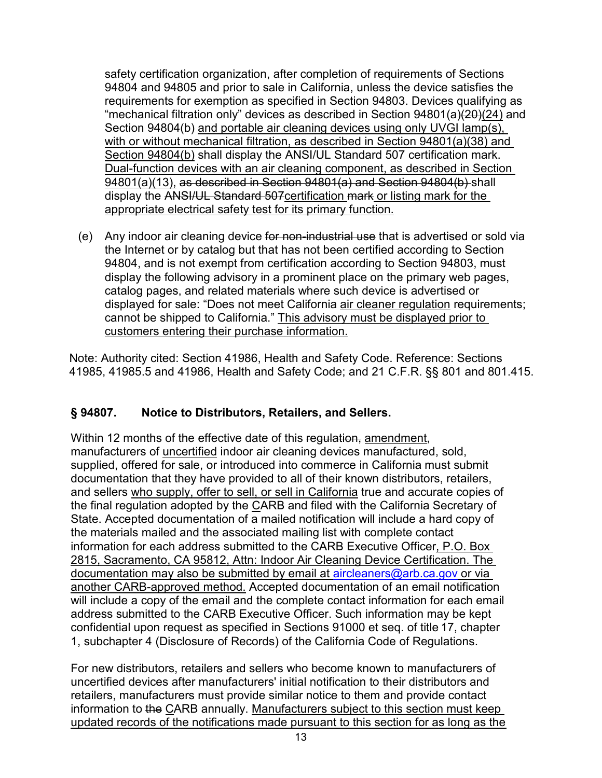with or without mechanical filtration, as described in Section 94801(a)(38) and Section 94804(b) shall display the ANSI/UL Standard 507 certification mark. display the <del>ANSI/UL Standard 507</del><u>certification mark or listing mark for the </u> appropriate electrical safety test for its primary function. safety certification organization, after completion of requirements of Sections 94804 and 94805 and prior to sale in California, unless the device satisfies the requirements for exemption as specified in Section 94803. Devices qualifying as "mechanical filtration only" devices as described in Section 94801(a)(20)(24) and Section 94804(b) and portable air cleaning devices using only UVGI lamp(s), Dual-function devices with an air cleaning component, as described in Section 94801(a)(13), as described in Section 94801(a) and Section 94804(b) shall

(e) Any indoor air cleaning device for non-industrial use that is advertised or sold via the Internet or by catalog but that has not been certified according to Section 94804, and is not exempt from certification according to Section 94803, must display the following advisory in a prominent place on the primary web pages, catalog pages, and related materials where such device is advertised or displayed for sale: "Does not meet California air cleaner regulation requirements; cannot be shipped to California." This advisory must be displayed prior to customers entering their purchase information.

Note: Authority cited: Section 41986, Health and Safety Code. Reference: Sections 41985, 41985.5 and 41986, Health and Safety Code; and 21 C.F.R. §§ 801 and 801.415.

#### **§ 94807. Notice to Distributors, Retailers, and Sellers.**

 supplied, offered for sale, or introduced into commerce in California must submit and sellers <u>who supply, offer to sell, or sell in California</u> true and accurate copies of confidential upon request as specified in Sections 91000 et seq. of title 17, chapter Within 12 months of the effective date of this regulation, amendment, manufacturers of uncertified indoor air cleaning devices manufactured, sold, documentation that they have provided to all of their known distributors, retailers, the final regulation adopted by the CARB and filed with the California Secretary of State. Accepted documentation of a mailed notification will include a hard copy of the materials mailed and the associated mailing list with complete contact information for each address submitted to the CARB Executive Officer, P.O. Box 2815, Sacramento, CA 95812, Attn: Indoor Air Cleaning Device Certification. The documentation may also be submitted by email at [aircleaners@arb.ca.gov](mailto:aircleaners@arb.ca.gov) or via another CARB-approved method. Accepted documentation of an email notification will include a copy of the email and the complete contact information for each email address submitted to the CARB Executive Officer. Such information may be kept 1, subchapter 4 (Disclosure of Records) of the California Code of Regulations.

 For new distributors, retailers and sellers who become known to manufacturers of information to the CARB annually. Manufacturers subject to this section must keep uncertified devices after manufacturers' initial notification to their distributors and retailers, manufacturers must provide similar notice to them and provide contact updated records of the notifications made pursuant to this section for as long as the